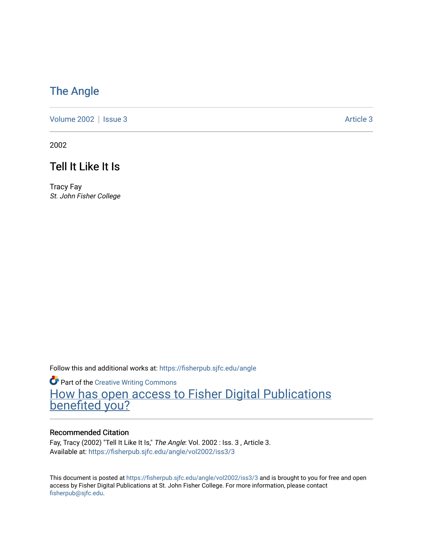# [The Angle](https://fisherpub.sjfc.edu/angle)

[Volume 2002](https://fisherpub.sjfc.edu/angle/vol2002) | [Issue 3](https://fisherpub.sjfc.edu/angle/vol2002/iss3) Article 3

2002

## Tell It Like It Is

Tracy Fay St. John Fisher College

Follow this and additional works at: [https://fisherpub.sjfc.edu/angle](https://fisherpub.sjfc.edu/angle?utm_source=fisherpub.sjfc.edu%2Fangle%2Fvol2002%2Fiss3%2F3&utm_medium=PDF&utm_campaign=PDFCoverPages)

**Part of the Creative Writing Commons** [How has open access to Fisher Digital Publications](https://docs.google.com/forms/d/14zrnDfH9d1wcdq8oG_-gFabAsxfcH5claltx85ZWyTg/viewform?entry.1394608989=https://fisherpub.sjfc.edu/angle/vol2002/iss3/3%3Chttps://docs.google.com/forms/d/14zrnDfH9d1wcdq8oG_-gFabAsxfcH5claltx85ZWyTg/viewform?entry.1394608989=%7bhttps://fisherpub.sjfc.edu/angle/vol2002/iss3/3%7d) [benefited you?](https://docs.google.com/forms/d/14zrnDfH9d1wcdq8oG_-gFabAsxfcH5claltx85ZWyTg/viewform?entry.1394608989=https://fisherpub.sjfc.edu/angle/vol2002/iss3/3%3Chttps://docs.google.com/forms/d/14zrnDfH9d1wcdq8oG_-gFabAsxfcH5claltx85ZWyTg/viewform?entry.1394608989=%7bhttps://fisherpub.sjfc.edu/angle/vol2002/iss3/3%7d)

#### Recommended Citation

Fay, Tracy (2002) "Tell It Like It Is," The Angle: Vol. 2002 : Iss. 3, Article 3. Available at: [https://fisherpub.sjfc.edu/angle/vol2002/iss3/3](https://fisherpub.sjfc.edu/angle/vol2002/iss3/3?utm_source=fisherpub.sjfc.edu%2Fangle%2Fvol2002%2Fiss3%2F3&utm_medium=PDF&utm_campaign=PDFCoverPages)

This document is posted at <https://fisherpub.sjfc.edu/angle/vol2002/iss3/3> and is brought to you for free and open access by Fisher Digital Publications at St. John Fisher College. For more information, please contact [fisherpub@sjfc.edu](mailto:fisherpub@sjfc.edu).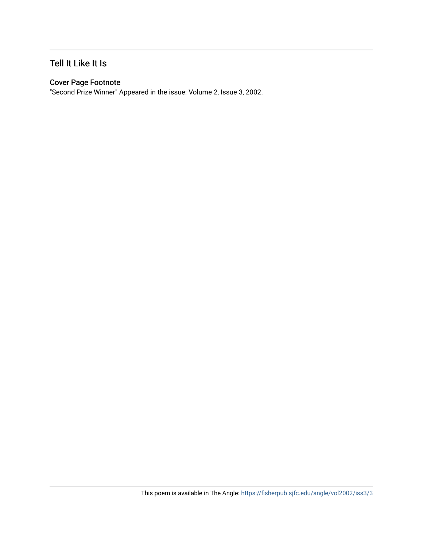#### Tell It Like It Is

#### Cover Page Footnote

"Second Prize Winner" Appeared in the issue: Volume 2, Issue 3, 2002.